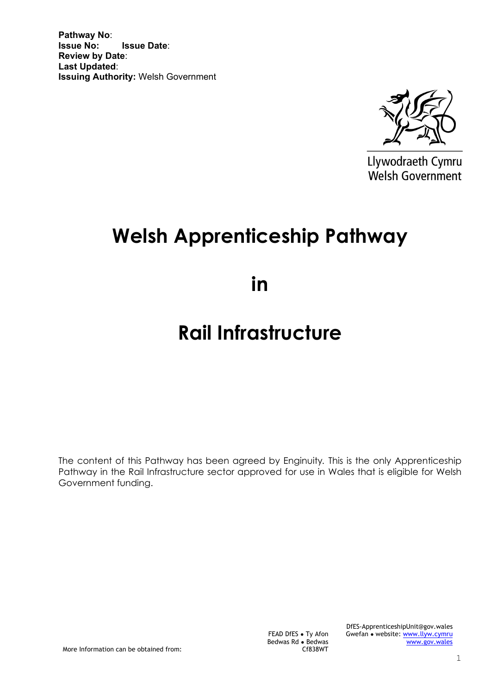**Pathway No**: **Issue Date: Review by Date**: **Last Updated**: **Issuing Authority:** Welsh Government



Llywodraeth Cymru Welsh Government

# **Welsh Apprenticeship Pathway**

**in** 

# **Rail Infrastructure**

The content of this Pathway has been agreed by Enginuity*.* This is the only Apprenticeship Pathway in the Rail Infrastructure sector approved for use in Wales that is eligible for Welsh Government funding.

More Information can be obtained from:

FEAD DfES ● Ty Afon Bedwas Rd ● Bedwas Cf838WT DfES-ApprenticeshipUnit@gov.wales Gwefan ● website: [www.llyw.cymru](http://www.llyw.cymru/) [www.gov.wales](http://www.gov.wales/)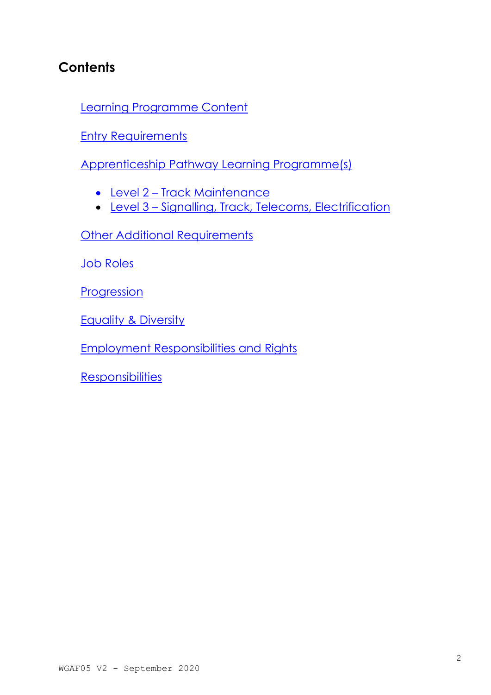# **Contents**

[Learning Programme Content](#page-2-0)

**[Entry Requirements](#page-2-1)** 

[Apprenticeship Pathway Learning Programme\(s\)](#page-5-0)

- [Level 2](#page-6-0) Track Maintenance
- [Level 3](#page-7-0) Signalling, Track, Telecoms, Electrification

Other Additional Requirements

[Job Roles](#page-15-0)

**[Progression](#page-15-1)** 

[Equality & Diversity](#page-16-0)

[Employment Responsibilities and Rights](#page-18-0)

**[Responsibilities](#page-18-1)**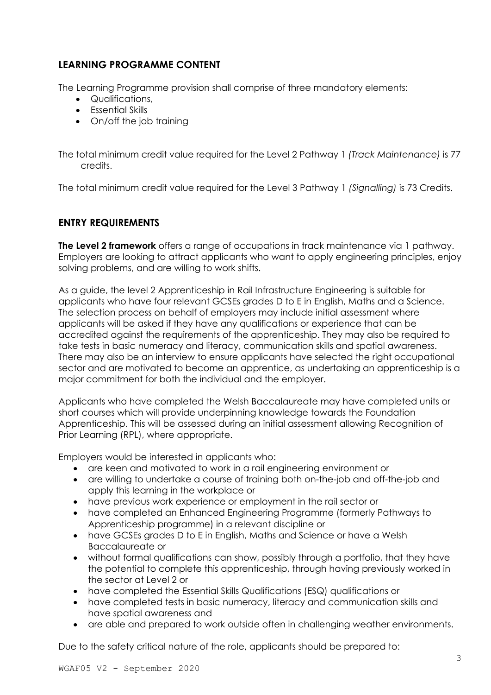# <span id="page-2-0"></span>**LEARNING PROGRAMME CONTENT**

The Learning Programme provision shall comprise of three mandatory elements:

- Qualifications,
- Essential Skills
- On/off the job training

The total minimum credit value required for the Level 2 Pathway 1 *(Track Maintenance)* is 77 credits.

The total minimum credit value required for the Level 3 Pathway 1 *(Signalling)* is 73 Credits.

## <span id="page-2-1"></span>**ENTRY REQUIREMENTS**

**The Level 2 framework** offers a range of occupations in track maintenance via 1 pathway. Employers are looking to attract applicants who want to apply engineering principles, enjoy solving problems, and are willing to work shifts.

As a guide, the level 2 Apprenticeship in Rail Infrastructure Engineering is suitable for applicants who have four relevant GCSEs grades D to E in English, Maths and a Science. The selection process on behalf of employers may include initial assessment where applicants will be asked if they have any qualifications or experience that can be accredited against the requirements of the apprenticeship. They may also be required to take tests in basic numeracy and literacy, communication skills and spatial awareness. There may also be an interview to ensure applicants have selected the right occupational sector and are motivated to become an apprentice, as undertaking an apprenticeship is a major commitment for both the individual and the employer.

Applicants who have completed the Welsh Baccalaureate may have completed units or short courses which will provide underpinning knowledge towards the Foundation Apprenticeship. This will be assessed during an initial assessment allowing Recognition of Prior Learning (RPL), where appropriate.

Employers would be interested in applicants who:

- are keen and motivated to work in a rail engineering environment or
- are willing to undertake a course of training both on-the-job and off-the-job and apply this learning in the workplace or
- have previous work experience or employment in the rail sector or
- have completed an Enhanced Engineering Programme (formerly Pathways to Apprenticeship programme) in a relevant discipline or
- have GCSEs grades D to E in English, Maths and Science or have a Welsh Baccalaureate or
- without formal qualifications can show, possibly through a portfolio, that they have the potential to complete this apprenticeship, through having previously worked in the sector at Level 2 or
- have completed the Essential Skills Qualifications (ESQ) qualifications or
- have completed tests in basic numeracy, literacy and communication skills and have spatial awareness and
- are able and prepared to work outside often in challenging weather environments.

Due to the safety critical nature of the role, applicants should be prepared to: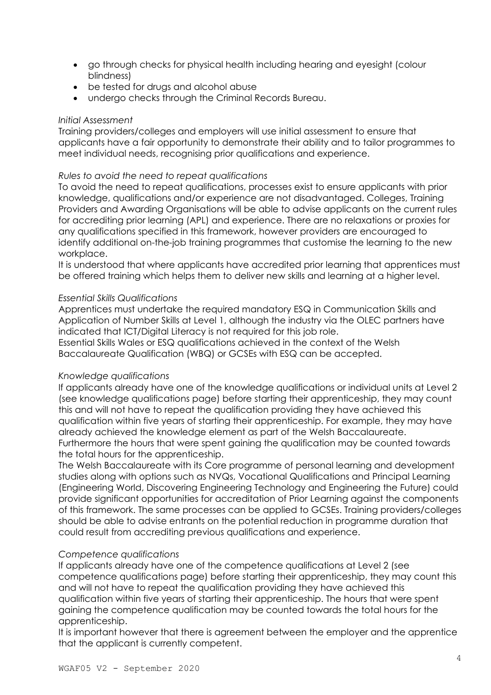- go through checks for physical health including hearing and eyesight (colour blindness)
- be tested for drugs and alcohol abuse
- undergo checks through the Criminal Records Bureau.

#### *Initial Assessment*

Training providers/colleges and employers will use initial assessment to ensure that applicants have a fair opportunity to demonstrate their ability and to tailor programmes to meet individual needs, recognising prior qualifications and experience.

#### *Rules to avoid the need to repeat qualifications*

To avoid the need to repeat qualifications, processes exist to ensure applicants with prior knowledge, qualifications and/or experience are not disadvantaged. Colleges, Training Providers and Awarding Organisations will be able to advise applicants on the current rules for accrediting prior learning (APL) and experience. There are no relaxations or proxies for any qualifications specified in this framework, however providers are encouraged to identify additional on-the-job training programmes that customise the learning to the new workplace.

It is understood that where applicants have accredited prior learning that apprentices must be offered training which helps them to deliver new skills and learning at a higher level.

#### *Essential Skills Qualifications*

Apprentices must undertake the required mandatory ESQ in Communication Skills and Application of Number Skills at Level 1, although the industry via the OLEC partners have indicated that ICT/Digital Literacy is not required for this job role.

Essential Skills Wales or ESQ qualifications achieved in the context of the Welsh Baccalaureate Qualification (WBQ) or GCSEs with ESQ can be accepted.

#### *Knowledge qualifications*

If applicants already have one of the knowledge qualifications or individual units at Level 2 (see knowledge qualifications page) before starting their apprenticeship, they may count this and will not have to repeat the qualification providing they have achieved this qualification within five years of starting their apprenticeship. For example, they may have already achieved the knowledge element as part of the Welsh Baccalaureate. Furthermore the hours that were spent gaining the qualification may be counted towards the total hours for the apprenticeship.

The Welsh Baccalaureate with its Core programme of personal learning and development studies along with options such as NVQs, Vocational Qualifications and Principal Learning (Engineering World, Discovering Engineering Technology and Engineering the Future) could provide significant opportunities for accreditation of Prior Learning against the components of this framework. The same processes can be applied to GCSEs. Training providers/colleges should be able to advise entrants on the potential reduction in programme duration that could result from accrediting previous qualifications and experience.

#### *Competence qualifications*

If applicants already have one of the competence qualifications at Level 2 (see competence qualifications page) before starting their apprenticeship, they may count this and will not have to repeat the qualification providing they have achieved this qualification within five years of starting their apprenticeship. The hours that were spent gaining the competence qualification may be counted towards the total hours for the apprenticeship.

It is important however that there is agreement between the employer and the apprentice that the applicant is currently competent.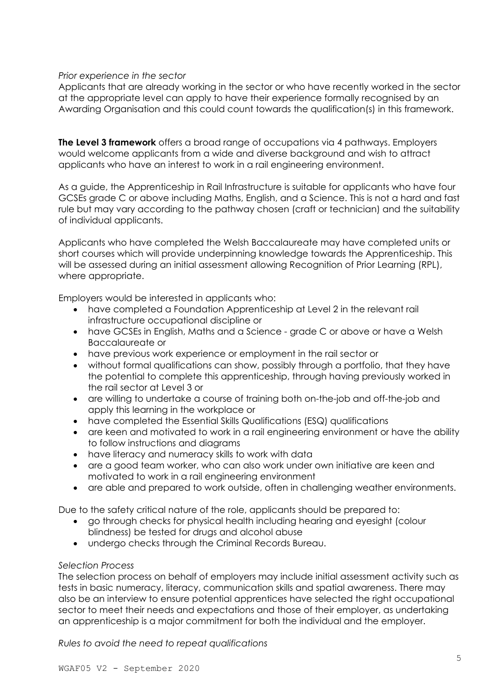#### *Prior experience in the sector*

Applicants that are already working in the sector or who have recently worked in the sector at the appropriate level can apply to have their experience formally recognised by an Awarding Organisation and this could count towards the qualification(s) in this framework.

**The Level 3 framework** offers a broad range of occupations via 4 pathways. Employers would welcome applicants from a wide and diverse background and wish to attract applicants who have an interest to work in a rail engineering environment.

As a guide, the Apprenticeship in Rail Infrastructure is suitable for applicants who have four GCSEs grade C or above including Maths, English, and a Science. This is not a hard and fast rule but may vary according to the pathway chosen (craft or technician) and the suitability of individual applicants.

Applicants who have completed the Welsh Baccalaureate may have completed units or short courses which will provide underpinning knowledge towards the Apprenticeship. This will be assessed during an initial assessment allowing Recognition of Prior Learning (RPL), where appropriate.

Employers would be interested in applicants who:

- have completed a Foundation Apprenticeship at Level 2 in the relevant rail infrastructure occupational discipline or
- have GCSEs in English, Maths and a Science grade C or above or have a Welsh Baccalaureate or
- have previous work experience or employment in the rail sector or
- without formal qualifications can show, possibly through a portfolio, that they have the potential to complete this apprenticeship, through having previously worked in the rail sector at Level 3 or
- are willing to undertake a course of training both on-the-job and off-the-job and apply this learning in the workplace or
- have completed the Essential Skills Qualifications (ESQ) qualifications
- are keen and motivated to work in a rail engineering environment or have the ability to follow instructions and diagrams
- have literacy and numeracy skills to work with data
- are a good team worker, who can also work under own initiative are keen and motivated to work in a rail engineering environment
- are able and prepared to work outside, often in challenging weather environments.

Due to the safety critical nature of the role, applicants should be prepared to:

- go through checks for physical health including hearing and eyesight (colour blindness) be tested for drugs and alcohol abuse
- undergo checks through the Criminal Records Bureau.

#### *Selection Process*

The selection process on behalf of employers may include initial assessment activity such as tests in basic numeracy, literacy, communication skills and spatial awareness. There may also be an interview to ensure potential apprentices have selected the right occupational sector to meet their needs and expectations and those of their employer, as undertaking an apprenticeship is a major commitment for both the individual and the employer.

*Rules to avoid the need to repeat qualifications*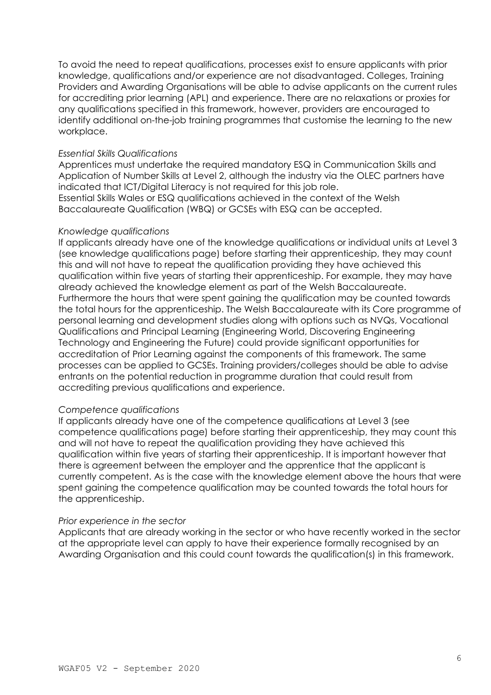To avoid the need to repeat qualifications, processes exist to ensure applicants with prior knowledge, qualifications and/or experience are not disadvantaged. Colleges, Training Providers and Awarding Organisations will be able to advise applicants on the current rules for accrediting prior learning (APL) and experience. There are no relaxations or proxies for any qualifications specified in this framework, however, providers are encouraged to identify additional on-the-job training programmes that customise the learning to the new workplace.

#### *Essential Skills Qualifications*

Apprentices must undertake the required mandatory ESQ in Communication Skills and Application of Number Skills at Level 2, although the industry via the OLEC partners have indicated that ICT/Digital Literacy is not required for this job role. Essential Skills Wales or ESQ qualifications achieved in the context of the Welsh Baccalaureate Qualification (WBQ) or GCSEs with ESQ can be accepted.

#### *Knowledge qualifications*

If applicants already have one of the knowledge qualifications or individual units at Level 3 (see knowledge qualifications page) before starting their apprenticeship, they may count this and will not have to repeat the qualification providing they have achieved this qualification within five years of starting their apprenticeship. For example, they may have already achieved the knowledge element as part of the Welsh Baccalaureate. Furthermore the hours that were spent gaining the qualification may be counted towards the total hours for the apprenticeship. The Welsh Baccalaureate with its Core programme of personal learning and development studies along with options such as NVQs, Vocational Qualifications and Principal Learning (Engineering World, Discovering Engineering Technology and Engineering the Future) could provide significant opportunities for accreditation of Prior Learning against the components of this framework. The same processes can be applied to GCSEs. Training providers/colleges should be able to advise entrants on the potential reduction in programme duration that could result from accrediting previous qualifications and experience.

#### *Competence qualifications*

If applicants already have one of the competence qualifications at Level 3 (see competence qualifications page) before starting their apprenticeship, they may count this and will not have to repeat the qualification providing they have achieved this qualification within five years of starting their apprenticeship. It is important however that there is agreement between the employer and the apprentice that the applicant is currently competent. As is the case with the knowledge element above the hours that were spent gaining the competence qualification may be counted towards the total hours for the apprenticeship.

#### *Prior experience in the sector*

<span id="page-5-0"></span>Applicants that are already working in the sector or who have recently worked in the sector at the appropriate level can apply to have their experience formally recognised by an Awarding Organisation and this could count towards the qualification(s) in this framework.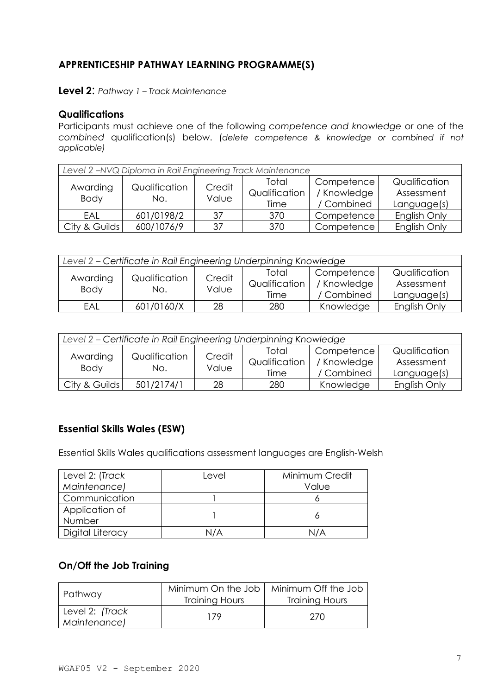# **APPRENTICESHIP PATHWAY LEARNING PROGRAMME(S)**

<span id="page-6-0"></span>**Level 2**: *Pathway 1 – Track Maintenance*

#### **Qualifications**

Participants must achieve one of the following *competence and knowledge* or one of the *combined* qualification(s) below. (*delete competence & knowledge or combined if not applicable)*

| Level 2 - NVQ Diploma in Rail Engineering Track Maintenance |                      |                 |                                |                                         |                                            |  |  |
|-------------------------------------------------------------|----------------------|-----------------|--------------------------------|-----------------------------------------|--------------------------------------------|--|--|
| Awarding<br><b>Body</b>                                     | Qualification<br>No. | Credit<br>Value | Total<br>Qualification<br>Time | Competence<br>/ Knowledge<br>/ Combined | Qualification<br>Assessment<br>Language(s) |  |  |
| EAL                                                         | 601/0198/2           | 37              | 370                            | Competence                              | English Only                               |  |  |
| City & Guilds                                               | 600/1076/9           | 37              | 370                            | Competence                              | English Only                               |  |  |

| Level 2 - Certificate in Rail Engineering Underpinning Knowledge |            |              |               |               |              |  |
|------------------------------------------------------------------|------------|--------------|---------------|---------------|--------------|--|
| Awarding<br>Qualification                                        | Credit     | Total        | Competence    | Qualification |              |  |
| <b>Body</b>                                                      |            | Value<br>No. | Qualification | / Knowledge   | Assessment   |  |
|                                                                  |            |              | Time          | / Combined    | Language(s)  |  |
| EAL                                                              | 601/0160/X | 28           | 280           | Knowledge     | English Only |  |

| Level 2 - Certificate in Rail Engineering Underpinning Knowledge |                      |                 |                                |                                         |                                            |  |
|------------------------------------------------------------------|----------------------|-----------------|--------------------------------|-----------------------------------------|--------------------------------------------|--|
| Awarding<br>Body                                                 | Qualification<br>No. | Credit<br>Value | Total<br>Qualification<br>Time | Competence<br>/ Knowledge<br>/ Combined | Qualification<br>Assessment<br>Language(s) |  |
| City & Guilds                                                    | 501/2174/1           | 28              | 280                            | Knowledge                               | English Only                               |  |

# **Essential Skills Wales (ESW)**

Essential Skills Wales qualifications assessment languages are English-Welsh

| Level 2: (Track  | Level | Minimum Credit |
|------------------|-------|----------------|
| Maintenance)     |       | Value          |
| Communication    |       |                |
| Application of   |       |                |
| Number           |       |                |
| Digital Literacy | J/A   |                |

# **On/Off the Job Training**

| Pathway                         | Minimum On the Job  <br><b>Training Hours</b> | Minimum Off the Job<br><b>Training Hours</b> |
|---------------------------------|-----------------------------------------------|----------------------------------------------|
| Level 2: (Track<br>Maintenance) | 179                                           | 270                                          |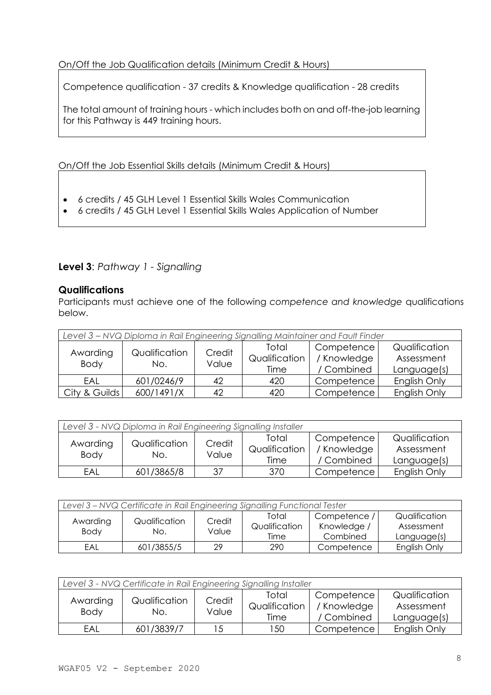## On/Off the Job Qualification details (Minimum Credit & Hours)

Competence qualification - 37 credits & Knowledge qualification - 28 credits

The total amount of training hours - which includes both on and off-the-job learning for this Pathway is 449 training hours.

On/Off the Job Essential Skills details (Minimum Credit & Hours)

- 6 credits / 45 GLH Level 1 Essential Skills Wales Communication
- 6 credits / 45 GLH Level 1 Essential Skills Wales Application of Number

# <span id="page-7-0"></span>**Level 3**: *Pathway 1 - Signalling*

## **Qualifications**

Participants must achieve one of the following *competence and knowledge* qualifications below.

| Level 3 - NVQ Diploma in Rail Engineering Signalling Maintainer and Fault Finder |               |        |               |             |               |  |
|----------------------------------------------------------------------------------|---------------|--------|---------------|-------------|---------------|--|
|                                                                                  |               |        | Total         | Competence  | Qualification |  |
| Awarding                                                                         | Qualification | Credit | Qualification | / Knowledge | Assessment    |  |
| <b>Body</b>                                                                      | No.           | Value  | Time          | / Combined  | Language(s)   |  |
| FAI                                                                              | 601/0246/9    | 42     | 420           | Competence  | English Only  |  |
| City & Guilds                                                                    | 600/1491/X    | 42     | 420           | Competence  | English Only  |  |

| Level 3 - NVQ Diploma in Rail Engineering Signalling Installer |                      |                 |                                |                                         |                                            |  |  |
|----------------------------------------------------------------|----------------------|-----------------|--------------------------------|-----------------------------------------|--------------------------------------------|--|--|
| Awarding<br><b>Body</b>                                        | Qualification<br>No. | Credit<br>Value | Total<br>Qualification<br>Time | Competence<br>/ Knowledge<br>/ Combined | Qualification<br>Assessment<br>Language(s) |  |  |
| EAL                                                            | 601/3865/8           | 37              | 370                            | Competence                              | English Only                               |  |  |

| Level 3 - NVQ Certificate in Rail Engineering Signalling Functional Tester |                      |                 |                                |                                         |                                            |  |
|----------------------------------------------------------------------------|----------------------|-----------------|--------------------------------|-----------------------------------------|--------------------------------------------|--|
| Awarding<br><b>Body</b>                                                    | Qualification<br>No. | Credit<br>Value | Total<br>Qualification<br>Time | Competence /<br>Knowledge /<br>Combined | Qualification<br>Assessment<br>Language(s) |  |
| EAL                                                                        | 601/3855/5           | 29              | 290                            | Competence                              | English Only                               |  |

| Level 3 - NVQ Certificate in Rail Engineering Signalling Installer |                      |                 |                                |                                         |                                            |  |
|--------------------------------------------------------------------|----------------------|-----------------|--------------------------------|-----------------------------------------|--------------------------------------------|--|
| Awarding<br><b>Body</b>                                            | Qualification<br>No. | Credit<br>Value | Total<br>Qualification<br>Time | Competence<br>/ Knowledge<br>/ Combined | Qualification<br>Assessment<br>Language(s) |  |
| EAL                                                                | 601/3839/7           | 15              | 150                            | Competence <sub>1</sub>                 | English Only                               |  |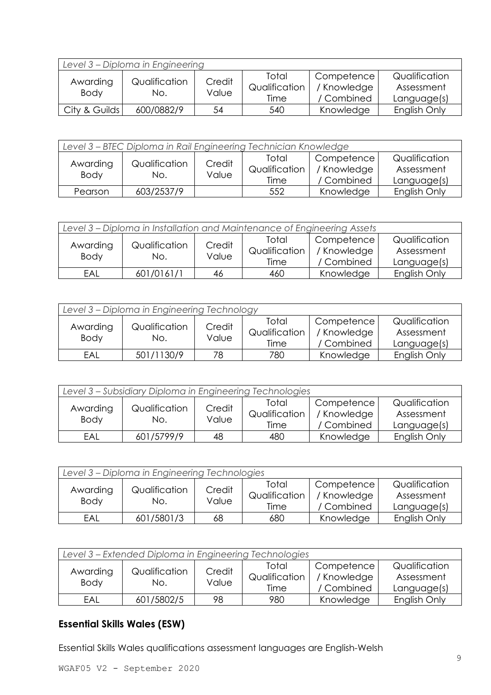| Level 3 – Diploma in Engineering |                      |                 |                                |                                         |                                            |  |
|----------------------------------|----------------------|-----------------|--------------------------------|-----------------------------------------|--------------------------------------------|--|
| Awarding<br><b>Body</b>          | Qualification<br>No. | Credit<br>Value | Total<br>Qualification<br>Time | Competence<br>/ Knowledge<br>/ Combined | Qualification<br>Assessment<br>Language(s) |  |
| City & Guilds                    | 600/0882/9           | 54              | 540                            | Knowledge                               | English Only                               |  |

| Level 3 - BTEC Diploma in Rail Engineering Technician Knowledge |                      |                 |                                |                                                      |                                            |  |
|-----------------------------------------------------------------|----------------------|-----------------|--------------------------------|------------------------------------------------------|--------------------------------------------|--|
| Awarding<br><b>Body</b>                                         | Qualification<br>No. | Credit<br>Value | Total<br>Qualification<br>Time | Competence <sup>'</sup><br>/ Knowledge<br>/ Combined | Qualification<br>Assessment<br>Language(s) |  |
| Pearson                                                         | 603/2537/9           |                 | 552                            | Knowledge                                            | English Only                               |  |

| Level 3 – Diploma in Installation and Maintenance of Engineering Assets |                      |                 |                                |                                         |                                            |  |
|-------------------------------------------------------------------------|----------------------|-----------------|--------------------------------|-----------------------------------------|--------------------------------------------|--|
| Awarding<br><b>Body</b>                                                 | Qualification<br>No. | Credit<br>Value | Total<br>Qualification<br>Time | Competence<br>/ Knowledge<br>/ Combined | Qualification<br>Assessment<br>Language(s) |  |
| EAL                                                                     | 601/0161/1           | 46              | 460                            | Knowledge                               | English Only                               |  |

| Level 3 - Diploma in Engineering Technology |                      |                 |                                |                                         |                                            |  |
|---------------------------------------------|----------------------|-----------------|--------------------------------|-----------------------------------------|--------------------------------------------|--|
| Awarding<br><b>Body</b>                     | Qualification<br>No. | Credit<br>Value | Total<br>Qualification<br>Time | Competence<br>/ Knowledge<br>/ Combined | Qualification<br>Assessment<br>Language(s) |  |
| EAL                                         | 501/1130/9           | 78              | 780                            | Knowledge                               | English Only                               |  |

| Level 3 - Subsidiary Diploma in Engineering Technologies |                      |                 |                                |                                         |                                            |  |
|----------------------------------------------------------|----------------------|-----------------|--------------------------------|-----------------------------------------|--------------------------------------------|--|
| Awarding<br><b>Body</b>                                  | Qualification<br>No. | Credit<br>Value | Total<br>Qualification<br>Time | Competence<br>/ Knowledge<br>/ Combined | Qualification<br>Assessment<br>Language(s) |  |
| EAL                                                      | 601/5799/9           | 48              | 480                            | Knowledge                               | English Only                               |  |

| Level 3 - Diploma in Engineering Technologies |                      |                 |                                |                                       |                                            |  |
|-----------------------------------------------|----------------------|-----------------|--------------------------------|---------------------------------------|--------------------------------------------|--|
| Awarding<br><b>Body</b>                       | Qualification<br>No. | Credit<br>Value | Total<br>Qualification<br>Time | Competence<br>Knowledge<br>/ Combined | Qualification<br>Assessment<br>Language(s) |  |
| EAL                                           | 601/5801/3           | 68              | 680                            | Knowledge                             | English Only                               |  |

| Level 3 - Extended Diploma in Engineering Technologies |                      |                 |                                |                                                      |                                            |  |  |
|--------------------------------------------------------|----------------------|-----------------|--------------------------------|------------------------------------------------------|--------------------------------------------|--|--|
| Awarding<br><b>Body</b>                                | Qualification<br>No. | Credit<br>Value | Total<br>Qualification<br>Time | Competence <sup>1</sup><br>/ Knowledge<br>/ Combined | Qualification<br>Assessment<br>Language(s) |  |  |
| EAL                                                    | 601/5802/5           | 98              | 980                            | Knowledge                                            | English Only                               |  |  |

Essential Skills Wales qualifications assessment languages are English-Welsh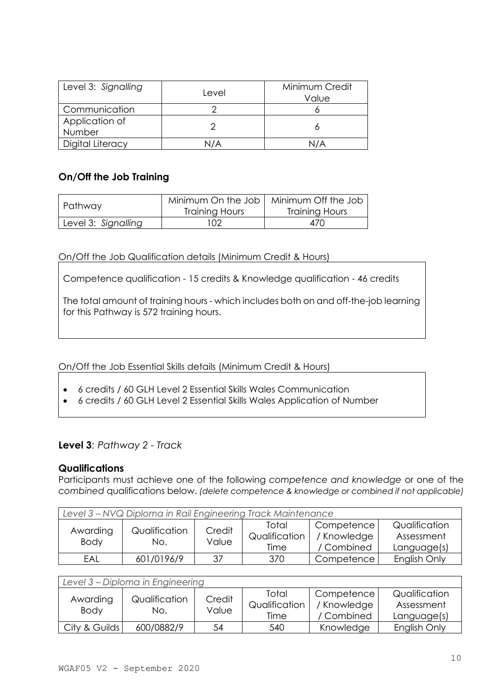| Level 3: Signalling      | Level  | Minimum Credit<br>Value |
|--------------------------|--------|-------------------------|
| Communication            |        |                         |
| Application of<br>Number |        |                         |
| Digital Literacy         | \J / A |                         |

# **On/Off the Job Training**

| Pathway             | Minimum On the Job  <br>Training Hours | Minimum Off the Job<br>Training Hours |  |
|---------------------|----------------------------------------|---------------------------------------|--|
| Level 3: Signalling | 02                                     | 470                                   |  |

## On/Off the Job Qualification details (Minimum Credit & Hours)

Competence qualification - 15 credits & Knowledge qualification - 46 credits

The total amount of training hours - which includes both on and off-the-job learning for this Pathway is 572 training hours.

On/Off the Job Essential Skills details (Minimum Credit & Hours)

- 6 credits / 60 GLH Level 2 Essential Skills Wales Communication
- 6 credits / 60 GLH Level 2 Essential Skills Wales Application of Number

# **Level 3**: *Pathway 2 - Track*

## **Qualifications**

Participants must achieve one of the following *competence and knowledge* or one of the *combined* qualifications below. *(delete competence & knowledge or combined if not applicable)*

| Level 3 - NVQ Diploma in Rail Engineering Track Maintenance |                      |                 |                                |                                         |                                            |  |  |
|-------------------------------------------------------------|----------------------|-----------------|--------------------------------|-----------------------------------------|--------------------------------------------|--|--|
| Awarding<br><b>Body</b>                                     | Qualification<br>No. | Credit<br>Value | Total<br>Qualification<br>Time | Competence<br>/ Knowledge<br>/ Combined | Qualification<br>Assessment<br>Language(s) |  |  |
| FAI                                                         | 601/0196/9           | 37              | 370                            | Competence                              | English Only                               |  |  |

| Level 3 - Diploma in Engineering |                      |                 |                                |                                       |                                            |  |  |
|----------------------------------|----------------------|-----------------|--------------------------------|---------------------------------------|--------------------------------------------|--|--|
| Awarding<br><b>Body</b>          | Qualification<br>No. | Credit<br>Value | Total<br>Qualification<br>Time | Competence<br>Knowledge<br>/ Combined | Qualification<br>Assessment<br>Language(s) |  |  |
| City & Guilds                    | 600/0882/9           | 54              | 540                            | Knowledge                             | English Only                               |  |  |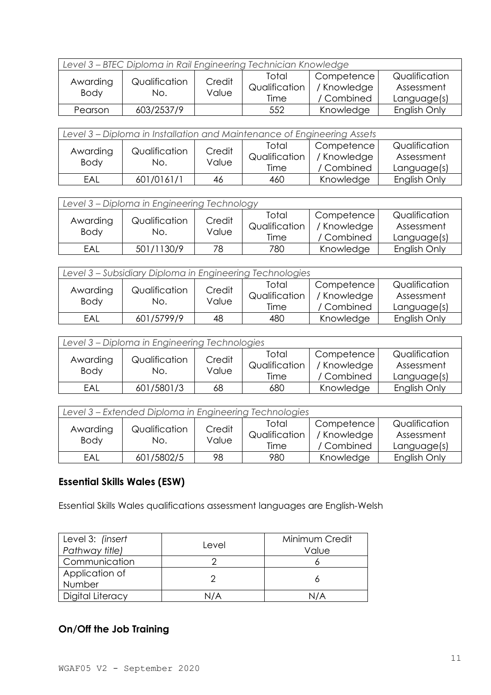| Level 3 - BTEC Diploma in Rail Engineering Technician Knowledge |                      |                 |                                |                                         |                                            |  |  |
|-----------------------------------------------------------------|----------------------|-----------------|--------------------------------|-----------------------------------------|--------------------------------------------|--|--|
| Awarding<br>Body                                                | Qualification<br>No. | Credit<br>Value | Total<br>Qualification<br>Time | Competence<br>/ Knowledge<br>/ Combined | Qualification<br>Assessment<br>Language(s) |  |  |
| Pearson                                                         | 603/2537/9           |                 | 552                            | Knowledge                               | English Only                               |  |  |

| Level 3 – Diploma in Installation and Maintenance of Engineering Assets |                      |                 |                                |                                         |                                            |  |  |
|-------------------------------------------------------------------------|----------------------|-----------------|--------------------------------|-----------------------------------------|--------------------------------------------|--|--|
| Awarding<br>Body                                                        | Qualification<br>No. | Credit<br>Value | Total<br>Qualification<br>Time | Competence<br>/ Knowledge<br>/ Combined | Qualification<br>Assessment<br>Language(s) |  |  |
| EAL                                                                     | 601/0161/1           | 46              | 460                            | Knowledge                               | English Only                               |  |  |

| Level 3 - Diploma in Engineering Technology |                      |                 |                                |                                         |                                            |  |  |
|---------------------------------------------|----------------------|-----------------|--------------------------------|-----------------------------------------|--------------------------------------------|--|--|
| Awarding<br><b>Body</b>                     | Qualification<br>No. | Credit<br>Value | Total<br>Qualification<br>Time | Competence<br>/ Knowledge<br>/ Combined | Qualification<br>Assessment<br>Language(s) |  |  |
| EAL                                         | 501/1130/9           | 78              | 780                            | Knowledge                               | English Only                               |  |  |

| Level 3 - Subsidiary Diploma in Engineering Technologies |                      |                 |                                |                                       |                                            |  |  |
|----------------------------------------------------------|----------------------|-----------------|--------------------------------|---------------------------------------|--------------------------------------------|--|--|
| Awarding<br><b>Body</b>                                  | Qualification<br>No. | Credit<br>Value | Total<br>Qualification<br>Time | Competence<br>Knowledge<br>/ Combined | Qualification<br>Assessment<br>Language(s) |  |  |
| EAL                                                      | 601/5799/9           | 48              | 480                            | Knowledge                             | English Only                               |  |  |
|                                                          |                      |                 |                                |                                       |                                            |  |  |

| Level 3 – Diploma in Engineering Technologies |                      |                 |                                |                                         |                                            |  |  |
|-----------------------------------------------|----------------------|-----------------|--------------------------------|-----------------------------------------|--------------------------------------------|--|--|
| Awarding<br><b>Body</b>                       | Qualification<br>No. | Credit<br>Value | Total<br>Qualification<br>Time | Competence<br>/ Knowledge<br>/ Combined | Qualification<br>Assessment<br>Language(s) |  |  |
| EAL                                           | 601/5801/3           | 68              | 680                            | Knowledge                               | English Only                               |  |  |

| Level 3 – Extended Diploma in Engineering Technologies |                      |                 |                                |                                         |                                            |  |  |
|--------------------------------------------------------|----------------------|-----------------|--------------------------------|-----------------------------------------|--------------------------------------------|--|--|
| Awarding<br><b>Body</b>                                | Qualification<br>No. | Credit<br>Value | Total<br>Qualification<br>Time | Competence<br>/ Knowledge<br>/ Combined | Qualification<br>Assessment<br>Language(s) |  |  |
| EAL                                                    | 601/5802/5           | 98              | 980                            | Knowledge                               | English Only                               |  |  |

Essential Skills Wales qualifications assessment languages are English-Welsh

| Level 3: (insert<br>Pathway title) | Level | Minimum Credit<br>Value |
|------------------------------------|-------|-------------------------|
| Communication                      |       |                         |
| Application of<br>Number           |       |                         |
| Digital Literacy                   | N/A   | N/A                     |

# **On/Off the Job Training**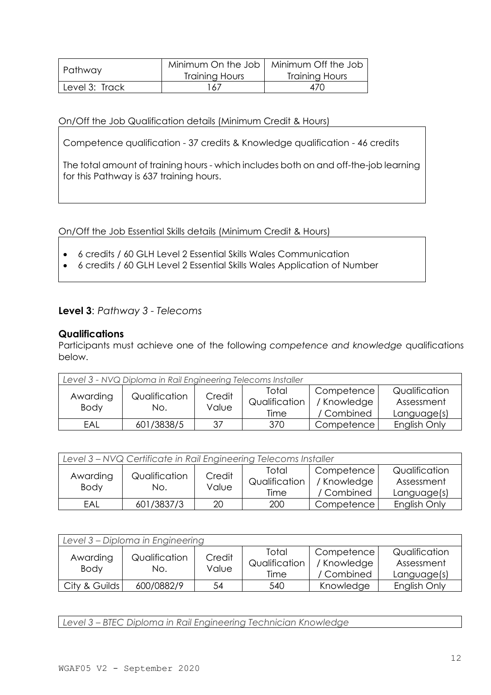| Pathway        | Minimum On the Job<br>Training Hours | Minimum Off the Job<br>Training Hours |  |
|----------------|--------------------------------------|---------------------------------------|--|
| Level 3: Track | 167                                  | 470                                   |  |

#### On/Off the Job Qualification details (Minimum Credit & Hours)

Competence qualification - 37 credits & Knowledge qualification - 46 credits

The total amount of training hours - which includes both on and off-the-job learning for this Pathway is 637 training hours.

On/Off the Job Essential Skills details (Minimum Credit & Hours)

- 6 credits / 60 GLH Level 2 Essential Skills Wales Communication
- 6 credits / 60 GLH Level 2 Essential Skills Wales Application of Number

## **Level 3**: *Pathway 3 - Telecoms*

#### **Qualifications**

Participants must achieve one of the following *competence and knowledge* qualifications below.

| Level 3 - NVQ Diploma in Rail Engineering Telecoms Installer |                      |                 |                                |                                         |                                            |  |  |
|--------------------------------------------------------------|----------------------|-----------------|--------------------------------|-----------------------------------------|--------------------------------------------|--|--|
| Awarding<br><b>Body</b>                                      | Qualification<br>No. | Credit<br>Value | Total<br>Qualification<br>Time | Competence<br>/ Knowledge<br>/ Combined | Qualification<br>Assessment<br>Language(s) |  |  |
| EAL                                                          | 601/3838/5           | 37              | 370                            | Competence                              | English Only                               |  |  |

| Level 3 - NVQ Certificate in Rail Engineering Telecoms Installer |                      |                 |                                |                                         |                                            |  |  |
|------------------------------------------------------------------|----------------------|-----------------|--------------------------------|-----------------------------------------|--------------------------------------------|--|--|
| Awarding<br><b>Body</b>                                          | Qualification<br>No. | Credit<br>Value | Total<br>Qualification<br>Time | Competence<br>/ Knowledge<br>/ Combined | Qualification<br>Assessment<br>Language(s) |  |  |
| EAL                                                              | 601/3837/3           | 20              | 200                            | Competence                              | English Only                               |  |  |

| Level 3 – Diploma in Engineering |                      |                 |                                |                                         |                                            |  |  |
|----------------------------------|----------------------|-----------------|--------------------------------|-----------------------------------------|--------------------------------------------|--|--|
| Awarding<br><b>Body</b>          | Qualification<br>No. | Credit<br>Value | Total<br>Qualification<br>Time | Competence<br>/ Knowledge<br>/ Combined | Qualification<br>Assessment<br>Language(s) |  |  |
| City & Guilds                    | 600/0882/9           | 54              | 540                            | Knowledge                               | English Only                               |  |  |

*Level 3 – BTEC Diploma in Rail Engineering Technician Knowledge*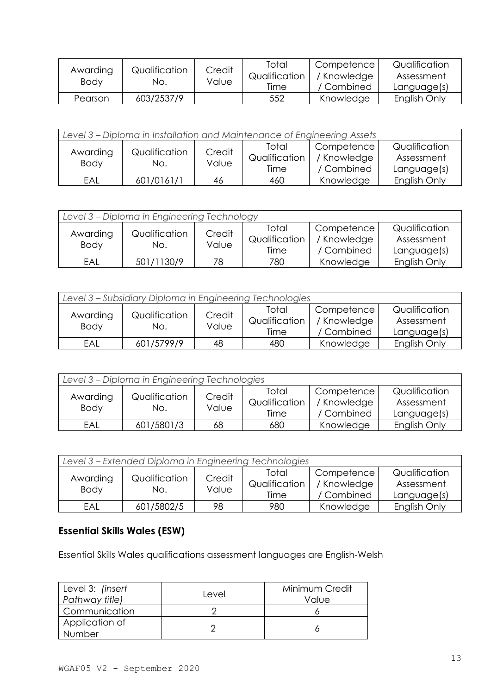| Awarding<br>Body | Qualification<br>No. | Credit<br>Value | Total<br>Qualification<br>Time | Competence<br>' Knowledge<br>/ Combined | Qualification<br>Assessment<br>Language(s) |
|------------------|----------------------|-----------------|--------------------------------|-----------------------------------------|--------------------------------------------|
| Pearson          | 603/2537/9           |                 | 552                            | Knowledge                               | English Only                               |

| Level 3 – Diploma in Installation and Maintenance of Engineering Assets |                      |                 |                                |                                         |                                            |  |  |
|-------------------------------------------------------------------------|----------------------|-----------------|--------------------------------|-----------------------------------------|--------------------------------------------|--|--|
| Awarding<br><b>Body</b>                                                 | Qualification<br>No. | Credit<br>Value | Total<br>Qualification<br>Time | Competence<br>/ Knowledge<br>/ Combined | Qualification<br>Assessment<br>Language(s) |  |  |
| EAL                                                                     | 601/0161/1           | 46              | 460                            | Knowledge                               | English Only                               |  |  |

| Level 3 - Diploma in Engineering Technology |                      |                 |                                |                                         |                                            |  |  |
|---------------------------------------------|----------------------|-----------------|--------------------------------|-----------------------------------------|--------------------------------------------|--|--|
| Awarding<br><b>Body</b>                     | Qualification<br>No. | Credit<br>Value | Total<br>Qualification<br>Time | Competence<br>/ Knowledge<br>/ Combined | Qualification<br>Assessment<br>Language(s) |  |  |
| EAL                                         | 501/1130/9           | 78              | 780                            | Knowledge                               | English Only                               |  |  |

| Level 3 - Subsidiary Diploma in Engineering Technologies |                      |                 |                                |                                         |                                            |  |  |
|----------------------------------------------------------|----------------------|-----------------|--------------------------------|-----------------------------------------|--------------------------------------------|--|--|
| Awarding<br><b>Body</b>                                  | Qualification<br>No. | Credit<br>Value | Total<br>Qualification<br>Time | Competence<br>/ Knowledge<br>/ Combined | Qualification<br>Assessment<br>Language(s) |  |  |
| EAL                                                      | 601/5799/9           | 48              | 480                            | Knowledge                               | English Only                               |  |  |

| Level 3 - Diploma in Engineering Technologies |                      |                 |                                |                                         |                                            |  |  |
|-----------------------------------------------|----------------------|-----------------|--------------------------------|-----------------------------------------|--------------------------------------------|--|--|
| Awarding<br><b>Body</b>                       | Qualification<br>No. | Credit<br>Value | Total<br>Qualification<br>Time | Competence<br>/ Knowledge<br>/ Combined | Qualification<br>Assessment<br>Language(s) |  |  |
| EAL                                           | 601/5801/3           | 68              | 680                            | Knowledge                               | English Only                               |  |  |

| Level 3 - Extended Diploma in Engineering Technologies |                      |                 |                                |                                         |                                            |  |  |
|--------------------------------------------------------|----------------------|-----------------|--------------------------------|-----------------------------------------|--------------------------------------------|--|--|
| Awarding<br><b>Body</b>                                | Qualification<br>No. | Credit<br>Value | Total<br>Qualification<br>Time | Competence<br>/ Knowledge<br>/ Combined | Qualification<br>Assessment<br>Language(s) |  |  |
| EAL                                                    | 601/5802/5           | 98              | 980                            | Knowledge                               | English Only                               |  |  |

Essential Skills Wales qualifications assessment languages are English-Welsh

| Level 3: (insert<br>Pathway title) | Level | Minimum Credit<br>Value |
|------------------------------------|-------|-------------------------|
| Communication                      |       |                         |
| Application of<br>Number           |       |                         |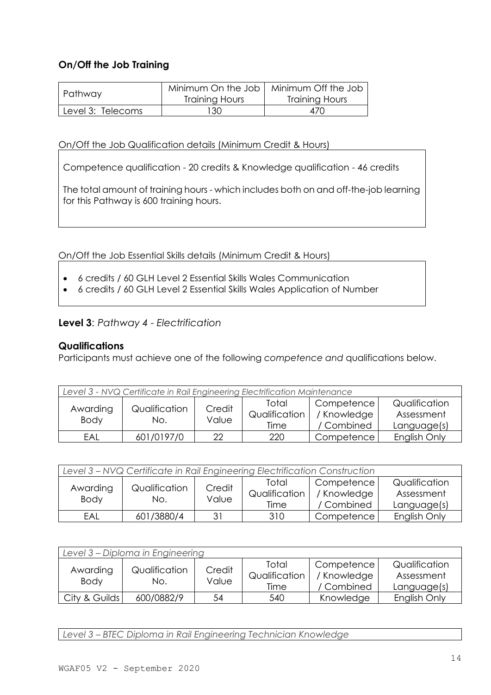# **On/Off the Job Training**

| Pathway           | Training Hours | Minimum On the Job   Minimum Off the Job<br><b>Training Hours</b> |  |
|-------------------|----------------|-------------------------------------------------------------------|--|
| Level 3: Telecoms | 130            | 470                                                               |  |

On/Off the Job Qualification details (Minimum Credit & Hours)

Competence qualification - 20 credits & Knowledge qualification - 46 credits

The total amount of training hours - which includes both on and off-the-job learning for this Pathway is 600 training hours.

On/Off the Job Essential Skills details (Minimum Credit & Hours)

- 6 credits / 60 GLH Level 2 Essential Skills Wales Communication
- 6 credits / 60 GLH Level 2 Essential Skills Wales Application of Number

# **Level 3**: *Pathway 4 - Electrification*

## **Qualifications**

Participants must achieve one of the following *competence and* qualifications below.

| Level 3 - NVQ Certificate in Rail Engineering Electrification Maintenance |                      |                 |                                |                                         |                                            |  |
|---------------------------------------------------------------------------|----------------------|-----------------|--------------------------------|-----------------------------------------|--------------------------------------------|--|
| Awarding<br><b>Body</b>                                                   | Qualification<br>No. | Credit<br>Value | Total<br>Qualification<br>Time | Competence<br>/ Knowledge<br>/ Combined | Qualification<br>Assessment<br>Language(s) |  |
| EAL                                                                       | 601/0197/0           | 22              | 220                            | Competence                              | English Only                               |  |

| Level 3 - NVQ Certificate in Rail Engineering Electrification Construction |            |        |               |             |               |  |  |
|----------------------------------------------------------------------------|------------|--------|---------------|-------------|---------------|--|--|
| Qualification<br>Awarding<br>Body<br>No.                                   |            | Credit | Total         | Competence  | Qualification |  |  |
|                                                                            |            |        | Qualification | / Knowledge | Assessment    |  |  |
|                                                                            | Value      | Time   | / Combined    | Language(s) |               |  |  |
| EAL                                                                        | 601/3880/4 | २1     | 310           | Competence  | English Only  |  |  |

| Level 3 - Diploma in Engineering |                      |                 |                                |                                         |                                            |  |  |
|----------------------------------|----------------------|-----------------|--------------------------------|-----------------------------------------|--------------------------------------------|--|--|
| Awarding<br><b>Body</b>          | Qualification<br>No. | Credit<br>Value | Total<br>Qualification<br>Time | Competence<br>/ Knowledge<br>/ Combined | Qualification<br>Assessment<br>Language(s) |  |  |
| City & Guilds                    | 600/0882/9           | 54              | 540                            | Knowledge                               | English Only                               |  |  |

*Level 3 – BTEC Diploma in Rail Engineering Technician Knowledge*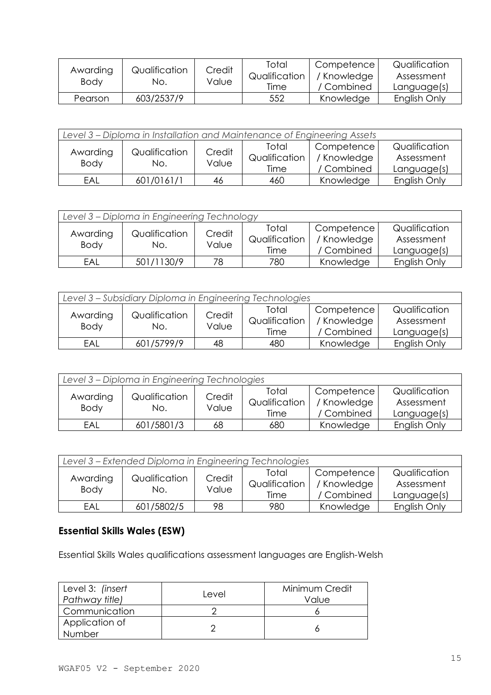| Awarding<br>Body | Qualification<br>No. | Credit<br>Value | Total<br>Qualification<br>Time | Competence<br>' Knowledge<br>/ Combined | Qualification<br>Assessment<br>Language(s) |
|------------------|----------------------|-----------------|--------------------------------|-----------------------------------------|--------------------------------------------|
| Pearson          | 603/2537/9           |                 | 552                            | Knowledge                               | English Only                               |

| Level 3 – Diploma in Installation and Maintenance of Engineering Assets |                      |                 |                                |                                         |                                            |  |  |
|-------------------------------------------------------------------------|----------------------|-----------------|--------------------------------|-----------------------------------------|--------------------------------------------|--|--|
| Awarding<br><b>Body</b>                                                 | Qualification<br>No. | Credit<br>Value | Total<br>Qualification<br>Time | Competence<br>/ Knowledge<br>/ Combined | Qualification<br>Assessment<br>Language(s) |  |  |
| EAL                                                                     | 601/0161/1           | 46              | 460                            | Knowledge                               | English Only                               |  |  |

| Level 3 - Diploma in Engineering Technology |                      |                 |                                |                                         |                                            |  |  |
|---------------------------------------------|----------------------|-----------------|--------------------------------|-----------------------------------------|--------------------------------------------|--|--|
| Awarding<br><b>Body</b>                     | Qualification<br>No. | Credit<br>Value | Total<br>Qualification<br>Time | Competence<br>/ Knowledge<br>/ Combined | Qualification<br>Assessment<br>Language(s) |  |  |
| EAL                                         | 501/1130/9           | 78              | 780                            | Knowledge                               | English Only                               |  |  |

| Level 3 - Subsidiary Diploma in Engineering Technologies |                      |                 |                                |                                         |                                            |  |
|----------------------------------------------------------|----------------------|-----------------|--------------------------------|-----------------------------------------|--------------------------------------------|--|
| Awarding<br><b>Body</b>                                  | Qualification<br>No. | Credit<br>Value | Total<br>Qualification<br>Time | Competence<br>/ Knowledge<br>/ Combined | Qualification<br>Assessment<br>Language(s) |  |
| EAL                                                      | 601/5799/9           | 48              | 480                            | Knowledge                               | English Only                               |  |

| Level 3 - Diploma in Engineering Technologies |                      |                 |                                |                                         |                                            |  |  |
|-----------------------------------------------|----------------------|-----------------|--------------------------------|-----------------------------------------|--------------------------------------------|--|--|
| Awarding<br><b>Body</b>                       | Qualification<br>No. | Credit<br>Value | Total<br>Qualification<br>Time | Competence<br>/ Knowledge<br>/ Combined | Qualification<br>Assessment<br>Language(s) |  |  |
| EAL                                           | 601/5801/3           | 68              | 680                            | Knowledge                               | English Only                               |  |  |

| Level 3 – Extended Diploma in Engineering Technologies |                      |                 |                                |                                         |                                            |  |  |
|--------------------------------------------------------|----------------------|-----------------|--------------------------------|-----------------------------------------|--------------------------------------------|--|--|
| Awarding<br><b>Body</b>                                | Qualification<br>No. | Credit<br>Value | Total<br>Qualification<br>Time | Competence<br>/ Knowledge<br>/ Combined | Qualification<br>Assessment<br>Language(s) |  |  |
| EAL                                                    | 601/5802/5           | 98              | 980                            | Knowledge                               | English Only                               |  |  |

Essential Skills Wales qualifications assessment languages are English-Welsh

| Level 3: (insert<br>Pathway title) | Level | Minimum Credit<br>Value |
|------------------------------------|-------|-------------------------|
| Communication                      |       |                         |
| Application of<br>Number           |       |                         |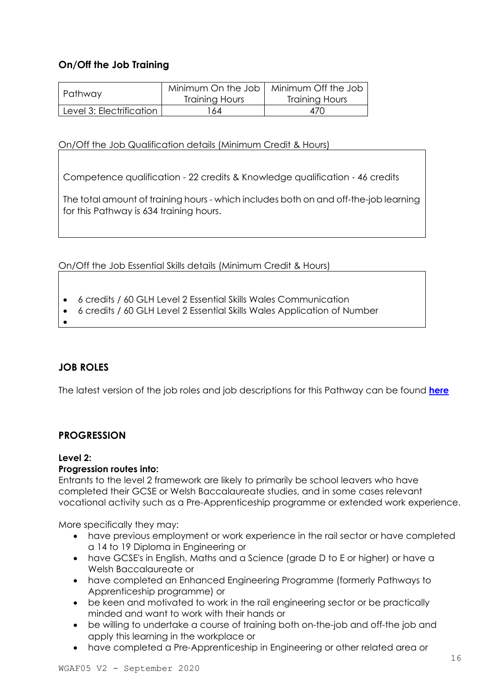# **On/Off the Job Training**

| Pathway                  | Minimum On the Job<br>Training Hours | Minimum Off the Job<br>Training Hours |
|--------------------------|--------------------------------------|---------------------------------------|
| Level 3: Electrification | 64                                   | 470                                   |

On/Off the Job Qualification details (Minimum Credit & Hours)

Competence qualification - 22 credits & Knowledge qualification - 46 credits

The total amount of training hours - which includes both on and off-the-job learning for this Pathway is 634 training hours.

On/Off the Job Essential Skills details (Minimum Credit & Hours)

- 6 credits / 60 GLH Level 2 Essential Skills Wales Communication
- 6 credits / 60 GLH Level 2 Essential Skills Wales Application of Number
- •

# <span id="page-15-0"></span>**JOB ROLES**

The latest version of the job roles and job descriptions for this Pathway can be found **[here](https://businesswales.gov.wales/skillsgateway/sites/skillsgateway/files/documents/Engineering-FR03998-SEMTA-Rail-Infrastructure-Engineering-L2-3-EN-April-2020.pdf)**

## <span id="page-15-1"></span>**PROGRESSION**

#### **Level 2:**

## **Progression routes into:**

Entrants to the level 2 framework are likely to primarily be school leavers who have completed their GCSE or Welsh Baccalaureate studies, and in some cases relevant vocational activity such as a Pre-Apprenticeship programme or extended work experience.

More specifically they may:

- have previous employment or work experience in the rail sector or have completed a 14 to 19 Diploma in Engineering or
- have GCSE's in English, Maths and a Science (grade D to E or higher) or have a Welsh Baccalaureate or
- have completed an Enhanced Engineering Programme (formerly Pathways to Apprenticeship programme) or
- be keen and motivated to work in the rail engineering sector or be practically minded and want to work with their hands or
- be willing to undertake a course of training both on-the-job and off-the job and apply this learning in the workplace or
- have completed a Pre-Apprenticeship in Engineering or other related area or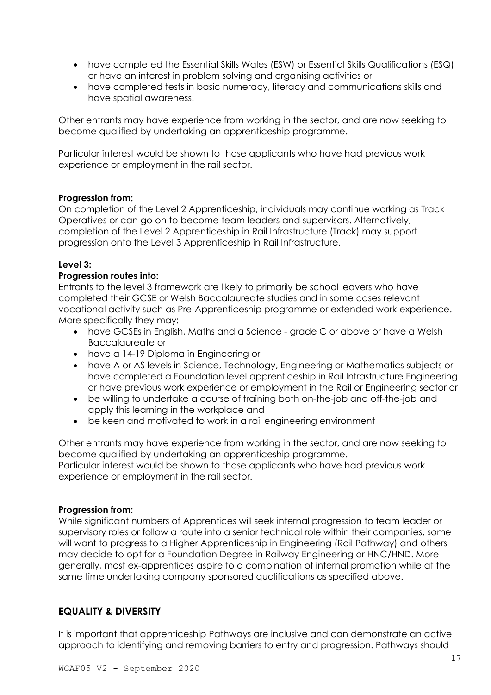- have completed the Essential Skills Wales (ESW) or Essential Skills Qualifications (ESQ) or have an interest in problem solving and organising activities or
- have completed tests in basic numeracy, literacy and communications skills and have spatial awareness.

Other entrants may have experience from working in the sector, and are now seeking to become qualified by undertaking an apprenticeship programme.

Particular interest would be shown to those applicants who have had previous work experience or employment in the rail sector.

#### **Progression from:**

On completion of the Level 2 Apprenticeship, individuals may continue working as Track Operatives or can go on to become team leaders and supervisors. Alternatively, completion of the Level 2 Apprenticeship in Rail Infrastructure (Track) may support progression onto the Level 3 Apprenticeship in Rail Infrastructure.

#### **Level 3:**

#### **Progression routes into:**

Entrants to the level 3 framework are likely to primarily be school leavers who have completed their GCSE or Welsh Baccalaureate studies and in some cases relevant vocational activity such as Pre-Apprenticeship programme or extended work experience. More specifically they may:

- have GCSEs in English, Maths and a Science grade C or above or have a Welsh Baccalaureate or
- have a 14-19 Diploma in Engineering or
- have A or AS levels in Science, Technology, Engineering or Mathematics subjects or have completed a Foundation level apprenticeship in Rail Infrastructure Engineering or have previous work experience or employment in the Rail or Engineering sector or
- be willing to undertake a course of training both on-the-job and off-the-job and apply this learning in the workplace and
- be keen and motivated to work in a rail engineering environment

Other entrants may have experience from working in the sector, and are now seeking to become qualified by undertaking an apprenticeship programme.

Particular interest would be shown to those applicants who have had previous work experience or employment in the rail sector.

#### **Progression from:**

While significant numbers of Apprentices will seek internal progression to team leader or supervisory roles or follow a route into a senior technical role within their companies, some will want to progress to a Higher Apprenticeship in Engineering (Rail Pathway) and others may decide to opt for a Foundation Degree in Railway Engineering or HNC/HND. More generally, most ex-apprentices aspire to a combination of internal promotion while at the same time undertaking company sponsored qualifications as specified above.

# <span id="page-16-0"></span>**EQUALITY & DIVERSITY**

It is important that apprenticeship Pathways are inclusive and can demonstrate an active approach to identifying and removing barriers to entry and progression. Pathways should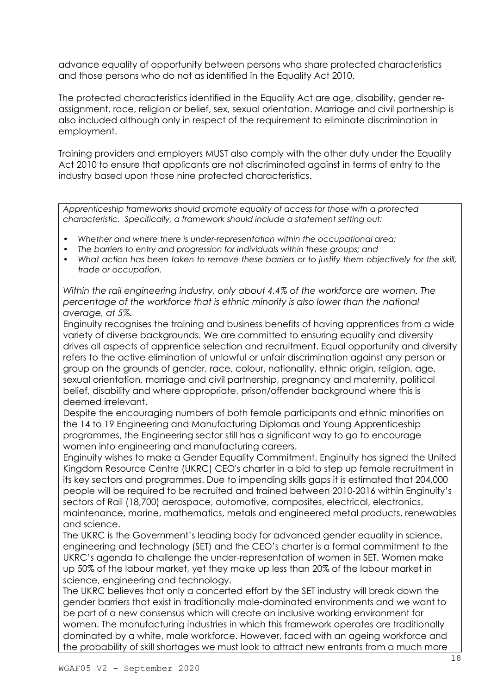advance equality of opportunity between persons who share protected characteristics and those persons who do not as identified in the Equality Act 2010.

The protected characteristics identified in the Equality Act are age, disability, gender reassignment, race, religion or belief, sex, sexual orientation. Marriage and civil partnership is also included although only in respect of the requirement to eliminate discrimination in employment.

Training providers and employers MUST also comply with the other duty under the Equality Act 2010 to ensure that applicants are not discriminated against in terms of entry to the industry based upon those nine protected characteristics.

*Apprenticeship frameworks should promote equality of access for those with a protected characteristic. Specifically, a framework should include a statement setting out:*

- *Whether and where there is under-representation within the occupational area;*
- *The barriers to entry and progression for individuals within these groups; and*
- *What action has been taken to remove these barriers or to justify them objectively for the skill, trade or occupation.*

*Within the rail engineering industry, only about 4.4% of the workforce are women. The percentage of the workforce that is ethnic minority is also lower than the national average, at 5%.* 

Enginuity recognises the training and business benefits of having apprentices from a wide variety of diverse backgrounds. We are committed to ensuring equality and diversity drives all aspects of apprentice selection and recruitment. Equal opportunity and diversity refers to the active elimination of unlawful or unfair discrimination against any person or group on the grounds of gender, race, colour, nationality, ethnic origin, religion, age, sexual orientation, marriage and civil partnership, pregnancy and maternity, political belief, disability and where appropriate, prison/offender background where this is deemed irrelevant.

Despite the encouraging numbers of both female participants and ethnic minorities on the 14 to 19 Engineering and Manufacturing Diplomas and Young Apprenticeship programmes, the Engineering sector still has a significant way to go to encourage women into engineering and manufacturing careers.

Enginuity wishes to make a Gender Equality Commitment. Enginuity has signed the United Kingdom Resource Centre (UKRC) CEO's charter in a bid to step up female recruitment in its key sectors and programmes. Due to impending skills gaps it is estimated that 204,000 people will be required to be recruited and trained between 2010-2016 within Enginuity's sectors of Rail (18,700) aerospace, automotive, composites, electrical, electronics, maintenance, marine, mathematics, metals and engineered metal products, renewables and science.

The UKRC is the Government's leading body for advanced gender equality in science, engineering and technology (SET) and the CEO's charter is a formal commitment to the UKRC's agenda to challenge the under-representation of women in SET. Women make up 50% of the labour market, yet they make up less than 20% of the labour market in science, engineering and technology.

The UKRC believes that only a concerted effort by the SET industry will break down the gender barriers that exist in traditionally male-dominated environments and we want to be part of a new consensus which will create an inclusive working environment for women. The manufacturing industries in which this framework operates are traditionally dominated by a white, male workforce. However, faced with an ageing workforce and the probability of skill shortages we must look to attract new entrants from a much more